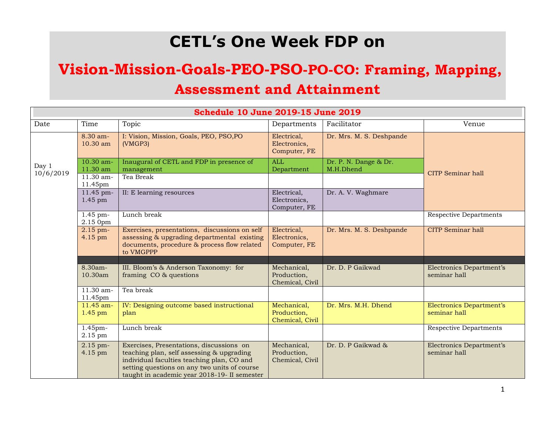## **CETL's One Week FDP on**

## **Vision-Mission-Goals-PEO-PSO-PO-CO: Framing, Mapping, Assessment and Attainment**

| Schedule 10 June 2019-15 June 2019 |                                     |                                                                                                                                                                                                                                     |                                               |                                    |                                          |
|------------------------------------|-------------------------------------|-------------------------------------------------------------------------------------------------------------------------------------------------------------------------------------------------------------------------------------|-----------------------------------------------|------------------------------------|------------------------------------------|
| Date                               | Time                                | Topic                                                                                                                                                                                                                               | Departments                                   | Facilitator                        | Venue                                    |
| Day 1<br>10/6/2019                 | 8.30 am-<br>10.30 am                | I: Vision, Mission, Goals, PEO, PSO, PO<br>(VMGP3)                                                                                                                                                                                  | Electrical,<br>Electronics,<br>Computer, FE   | Dr. Mrs. M. S. Deshpande           | <b>CITP Seminar hall</b>                 |
|                                    | 10.30 am-<br>11.30 am               | Inaugural of CETL and FDP in presence of<br>management                                                                                                                                                                              | <b>ALL</b><br>Department                      | Dr. P. N. Dange & Dr.<br>M.H.Dhend |                                          |
|                                    | 11.30 am-<br>11.45pm                | Tea Break                                                                                                                                                                                                                           |                                               |                                    |                                          |
|                                    | 11.45 pm-<br>1.45 pm                | II: E learning resources                                                                                                                                                                                                            | Electrical,<br>Electronics,<br>Computer, FE   | Dr. A. V. Waghmare                 |                                          |
|                                    | $1.45$ pm-<br>2.15 0pm              | Lunch break                                                                                                                                                                                                                         |                                               |                                    | <b>Respective Departments</b>            |
|                                    | 2.15 pm-<br>4.15 pm                 | Exercises, presentations, discussions on self<br>assessing & upgrading departmental existing<br>documents, procedure & process flow related<br>to VMGPPP                                                                            | Electrical,<br>Electronics,<br>Computer, FE   | Dr. Mrs. M. S. Deshpande           | <b>CITP</b> Seminar hall                 |
|                                    | 8.30am-<br>10.30am                  | III. Bloom's & Anderson Taxonomy: for<br>framing CO & questions                                                                                                                                                                     | Mechanical,<br>Production,<br>Chemical, Civil | Dr. D. P Gaikwad                   | Electronics Department's<br>seminar hall |
|                                    | 11.30 am-<br>11.45pm                | Tea break                                                                                                                                                                                                                           |                                               |                                    |                                          |
|                                    | $\overline{11.45}$ am-<br>$1.45$ pm | IV: Designing outcome based instructional<br>plan                                                                                                                                                                                   | Mechanical,<br>Production,<br>Chemical, Civil | Dr. Mrs. M.H. Dhend                | Electronics Department's<br>seminar hall |
|                                    | 1.45pm-<br>2.15 pm                  | Lunch break                                                                                                                                                                                                                         |                                               |                                    | <b>Respective Departments</b>            |
|                                    | $2.15$ pm-<br>4.15 pm               | Exercises, Presentations, discussions on<br>teaching plan, self assessing & upgrading<br>individual faculties teaching plan, CO and<br>setting questions on any two units of course<br>taught in academic year 2018-19- II semester | Mechanical,<br>Production,<br>Chemical, Civil | Dr. D. P Gaikwad &                 | Electronics Department's<br>seminar hall |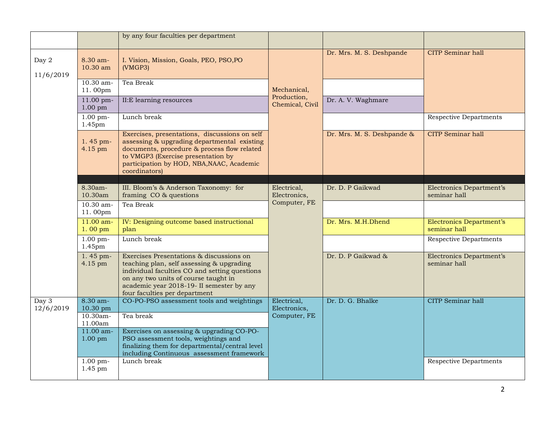|                    |                        | by any four faculties per department                                                                                                                                                                                                                         |                                               |                            |                                          |
|--------------------|------------------------|--------------------------------------------------------------------------------------------------------------------------------------------------------------------------------------------------------------------------------------------------------------|-----------------------------------------------|----------------------------|------------------------------------------|
| Day 2<br>11/6/2019 | 8.30 am-<br>10.30 am   | I. Vision, Mission, Goals, PEO, PSO, PO<br>(VMGP3)                                                                                                                                                                                                           | Mechanical,<br>Production,<br>Chemical, Civil | Dr. Mrs. M. S. Deshpande   | <b>CITP</b> Seminar hall                 |
|                    | 10.30 am-<br>11.00pm   | Tea Break                                                                                                                                                                                                                                                    |                                               |                            |                                          |
|                    | 11.00 pm-<br>$1.00$ pm | II:E learning resources                                                                                                                                                                                                                                      |                                               | Dr. A. V. Waghmare         |                                          |
|                    | $1.00$ pm-<br>1.45pm   | Lunch break                                                                                                                                                                                                                                                  |                                               |                            | <b>Respective Departments</b>            |
|                    | 1.45 pm-<br>4.15 pm    | Exercises, presentations, discussions on self<br>assessing & upgrading departmental existing<br>documents, procedure & process flow related<br>to VMGP3 (Exercise presentation by<br>participation by HOD, NBA, NAAC, Academic<br>coordinators)              |                                               | Dr. Mrs. M. S. Deshpande & | <b>CITP</b> Seminar hall                 |
|                    | 8.30am-                | III. Bloom's & Anderson Taxonomy: for                                                                                                                                                                                                                        | Electrical,                                   | Dr. D. P Gaikwad           | Electronics Department's                 |
|                    | 10.30am<br>10.30 am-   | framing CO & questions<br>Tea Break                                                                                                                                                                                                                          | Electronics,<br>Computer, FE                  |                            | seminar hall                             |
|                    | 11.00pm                |                                                                                                                                                                                                                                                              |                                               |                            |                                          |
|                    | 11.00 am-<br>$1.00$ pm | IV: Designing outcome based instructional<br>plan                                                                                                                                                                                                            |                                               | Dr. Mrs. M.H.Dhend         | Electronics Department's<br>seminar hall |
|                    | $1.00$ pm-<br>1.45pm   | Lunch break                                                                                                                                                                                                                                                  |                                               |                            | <b>Respective Departments</b>            |
|                    | $1.45$ pm-<br>4.15 pm  | Exercises Presentations & discussions on<br>teaching plan, self assessing & upgrading<br>individual faculties CO and setting questions<br>on any two units of course taught in<br>academic year 2018-19- II semester by any<br>four faculties per department |                                               | Dr. D. P Gaikwad &         | Electronics Department's<br>seminar hall |
| Day 3<br>12/6/2019 | 8.30 am-<br>10.30 pm   | CO-PO-PSO assessment tools and weightings                                                                                                                                                                                                                    | Electrical,<br>Electronics,<br>Computer, FE   | Dr. D. G. Bhalke           | <b>CITP</b> Seminar hall                 |
|                    | 10.30am-<br>11.00am    | Tea break                                                                                                                                                                                                                                                    |                                               |                            |                                          |
|                    | 11.00 am-<br>$1.00$ pm | Exercises on assessing & upgrading CO-PO-<br>PSO assessment tools, weightings and<br>finalizing them for departmental/central level<br>including Continuous assessment framework                                                                             |                                               |                            |                                          |
|                    | $1.00$ pm-<br>1.45 pm  | Lunch break                                                                                                                                                                                                                                                  |                                               |                            | <b>Respective Departments</b>            |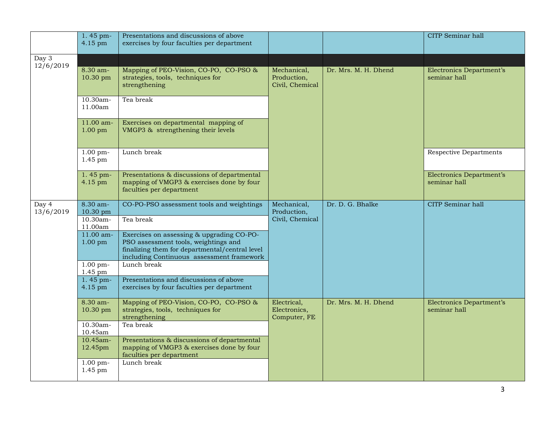|                    | 1.45 pm-<br>4.15 pm     | Presentations and discussions of above<br>exercises by four faculties per department                                                                                             |                                               |                      | <b>CITP</b> Seminar hall                        |
|--------------------|-------------------------|----------------------------------------------------------------------------------------------------------------------------------------------------------------------------------|-----------------------------------------------|----------------------|-------------------------------------------------|
| Day 3              |                         |                                                                                                                                                                                  |                                               |                      |                                                 |
| 12/6/2019          | 8.30 am-<br>10.30 pm    | Mapping of PEO-Vision, CO-PO, CO-PSO &<br>strategies, tools, techniques for<br>strengthening                                                                                     | Mechanical,<br>Production,<br>Civil, Chemical | Dr. Mrs. M. H. Dhend | Electronics Department's<br>seminar hall        |
|                    | 10.30am-<br>11.00am     | Tea break                                                                                                                                                                        |                                               |                      |                                                 |
|                    | 11.00 am-<br>$1.00$ pm  | Exercises on departmental mapping of<br>VMGP3 & strengthening their levels                                                                                                       |                                               |                      |                                                 |
|                    | $1.00$ pm-<br>1.45 pm   | Lunch break                                                                                                                                                                      |                                               |                      | <b>Respective Departments</b>                   |
|                    | 1.45 pm-<br>4.15 pm     | Presentations & discussions of departmental<br>mapping of VMGP3 & exercises done by four<br>faculties per department                                                             |                                               |                      | <b>Electronics Department's</b><br>seminar hall |
| Day 4<br>13/6/2019 | 8.30 am-<br>10.30 pm    | CO-PO-PSO assessment tools and weightings                                                                                                                                        | Mechanical,<br>Production,<br>Civil, Chemical | Dr. D. G. Bhalke     | CITP Seminar hall                               |
|                    | 10.30am-<br>11.00am     | Tea break                                                                                                                                                                        |                                               |                      |                                                 |
|                    | 11.00 am-<br>$1.00$ pm  | Exercises on assessing & upgrading CO-PO-<br>PSO assessment tools, weightings and<br>finalizing them for departmental/central level<br>including Continuous assessment framework |                                               |                      |                                                 |
|                    | $1.00$ pm-<br>$1.45$ pm | Lunch break                                                                                                                                                                      |                                               |                      |                                                 |
|                    | $1.45$ pm-<br>$4.15$ pm | Presentations and discussions of above<br>exercises by four faculties per department                                                                                             |                                               |                      |                                                 |
|                    | 8.30 am-<br>10.30 pm    | Mapping of PEO-Vision, CO-PO, CO-PSO &<br>strategies, tools, techniques for<br>strengthening                                                                                     | Electrical,<br>Electronics,<br>Computer, FE   | Dr. Mrs. M. H. Dhend | Electronics Department's<br>seminar hall        |
|                    | 10.30am-<br>10.45am     | Tea break                                                                                                                                                                        |                                               |                      |                                                 |
|                    | 10.45am-<br>12.45pm     | Presentations & discussions of departmental<br>mapping of VMGP3 & exercises done by four<br>faculties per department                                                             |                                               |                      |                                                 |
|                    | 1.00 pm-<br>1.45 pm     | Lunch break                                                                                                                                                                      |                                               |                      |                                                 |